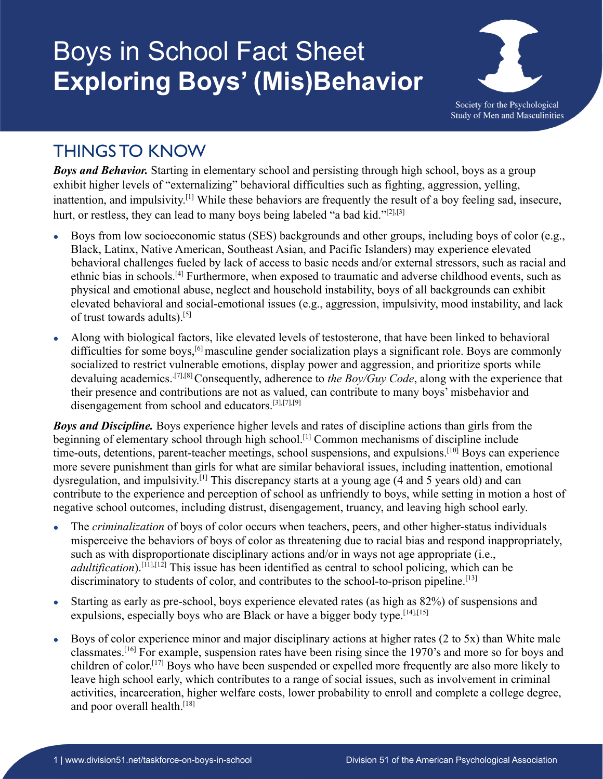# Boys in School Fact Sheet **Exploring Boys' (Mis)Behavior**



## THINGS TO KNOW

*Boys and Behavior.* Starting in elementary school and persisting through high school, boys as a group exhibit higher levels of "externalizing" behavioral difficulties such as fighting, aggression, yelling, inattention, and impulsivity.<sup>[1]</sup> While these behaviors are frequently the result of a boy feeling sad, insecure, hurt, or restless, they can lead to many boys being labeled "a bad kid." $[2]$ , $[3]$ 

- Boys from low socioeconomic status (SES) backgrounds and other groups, including boys of color (e.g., Black, Latinx, Native American, Southeast Asian, and Pacific Islanders) may experience elevated behavioral challenges fueled by lack of access to basic needs and/or external stressors, such as racial and ethnic bias in schools.[4] Furthermore, when exposed to traumatic and adverse childhood events, such as physical and emotional abuse, neglect and household instability, boys of all backgrounds can exhibit elevated behavioral and social-emotional issues (e.g., aggression, impulsivity, mood instability, and lack of trust towards adults).[5]
- Along with biological factors, like elevated levels of testosterone, that have been linked to behavioral difficulties for some boys,<sup>[6]</sup> masculine gender socialization plays a significant role. Boys are commonly socialized to restrict vulnerable emotions, display power and aggression, and prioritize sports while devaluing academics.<sup>[7],[8]</sup>Consequently, adherence to *the Boy/Guy Code*, along with the experience that their presence and contributions are not as valued, can contribute to many boys' misbehavior and disengagement from school and educators.[3],[7],[9]

*Boys and Discipline.* Boys experience higher levels and rates of discipline actions than girls from the beginning of elementary school through high school.[1] Common mechanisms of discipline include time-outs, detentions, parent-teacher meetings, school suspensions, and expulsions.<sup>[10]</sup> Boys can experience more severe punishment than girls for what are similar behavioral issues, including inattention, emotional dysregulation, and impulsivity.<sup>[1]</sup> This discrepancy starts at a young age (4 and 5 years old) and can contribute to the experience and perception of school as unfriendly to boys, while setting in motion a host of negative school outcomes, including distrust, disengagement, truancy, and leaving high school early.

- The *criminalization* of boys of color occurs when teachers, peers, and other higher-status individuals misperceive the behaviors of boys of color as threatening due to racial bias and respond inappropriately, such as with disproportionate disciplinary actions and/or in ways not age appropriate (i.e., *adultification*).<sup>[11],[12]</sup> This issue has been identified as central to school policing, which can be discriminatory to students of color, and contributes to the school-to-prison pipeline.<sup>[13]</sup>
- Starting as early as pre-school, boys experience elevated rates (as high as 82%) of suspensions and expulsions, especially boys who are Black or have a bigger body type.<sup>[14],[15]</sup>
- Boys of color experience minor and major disciplinary actions at higher rates  $(2 \text{ to } 5x)$  than White male classmates.[16] For example, suspension rates have been rising since the 1970's and more so for boys and children of color.<sup>[17]</sup> Boys who have been suspended or expelled more frequently are also more likely to leave high school early, which contributes to a range of social issues, such as involvement in criminal activities, incarceration, higher welfare costs, lower probability to enroll and complete a college degree, and poor overall health.[18]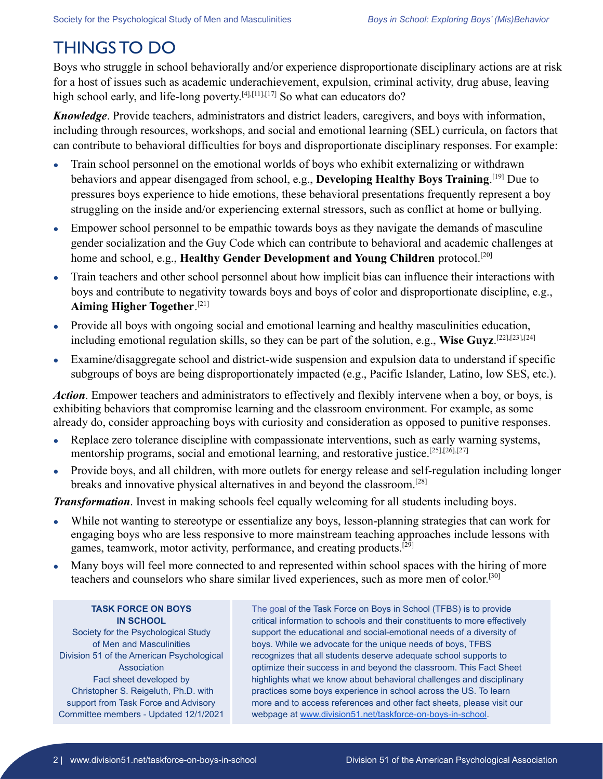## THINGS TO DO

Boys who struggle in school behaviorally and/or experience disproportionate disciplinary actions are at risk for a host of issues such as academic underachievement, expulsion, criminal activity, drug abuse, leaving high school early, and life-long poverty.<sup>[4],[11],[17]</sup> So what can educators do?

*Knowledge*. Provide teachers, administrators and district leaders, caregivers, and boys with information, including through resources, workshops, and social and emotional learning (SEL) curricula, on factors that can contribute to behavioral difficulties for boys and disproportionate disciplinary responses. For example:

- Train school personnel on the emotional worlds of boys who exhibit externalizing or withdrawn behaviors and appear disengaged from school, e.g., **Developing Healthy Boys Training**. [19] Due to pressures boys experience to hide emotions, these behavioral presentations frequently represent a boy struggling on the inside and/or experiencing external stressors, such as conflict at home or bullying.
- Empower school personnel to be empathic towards boys as they navigate the demands of masculine gender socialization and the Guy Code which can contribute to behavioral and academic challenges at home and school, e.g., **Healthy Gender Development and Young Children** protocol.<sup>[20]</sup>
- Train teachers and other school personnel about how implicit bias can influence their interactions with boys and contribute to negativity towards boys and boys of color and disproportionate discipline, e.g., **Aiming Higher Together**. [21]
- Provide all boys with ongoing social and emotional learning and healthy masculinities education, including emotional regulation skills, so they can be part of the solution, e.g., **Wise Guyz**. [22],[23],[24]
- Examine/disaggregate school and district-wide suspension and expulsion data to understand if specific subgroups of boys are being disproportionately impacted (e.g., Pacific Islander, Latino, low SES, etc.).

*Action*. Empower teachers and administrators to effectively and flexibly intervene when a boy, or boys, is exhibiting behaviors that compromise learning and the classroom environment. For example, as some already do, consider approaching boys with curiosity and consideration as opposed to punitive responses.

- Replace zero tolerance discipline with compassionate interventions, such as early warning systems, mentorship programs, social and emotional learning, and restorative justice.[25],[26],[27]
- Provide boys, and all children, with more outlets for energy release and self-regulation including longer breaks and innovative physical alternatives in and beyond the classroom.[28]

*Transformation*. Invest in making schools feel equally welcoming for all students including boys.

- While not wanting to stereotype or essentialize any boys, lesson-planning strategies that can work for engaging boys who are less responsive to more mainstream teaching approaches include lessons with games, teamwork, motor activity, performance, and creating products.[29]
- Many boys will feel more connected to and represented within school spaces with the hiring of more teachers and counselors who share similar lived experiences, such as more men of color.<sup>[30]</sup>

#### **TASK FORCE ON BOYS IN SCHOOL**

Society for the Psychological Study of Men and Masculinities Division 51 of the American Psychological **Association** Fact sheet developed by Christopher S. Reigeluth, Ph.D. with support from Task Force and Advisory Committee members - Updated 12/1/2021 The goal of the Task Force on Boys in School (TFBS) is to provide critical information to schools and their constituents to more effectively support the educational and social-emotional needs of a diversity of boys. While we advocate for the unique needs of boys, TFBS recognizes that all students deserve adequate school supports to optimize their success in and beyond the classroom. This Fact Sheet highlights what we know about behavioral challenges and disciplinary practices some boys experience in school across the US. To learn more and to access references and other fact sheets, please visit our webpage at [www.division51.net/taskforce-on-boys-in-school](http://www.division51.net/taskforce-on-boys-in-school).